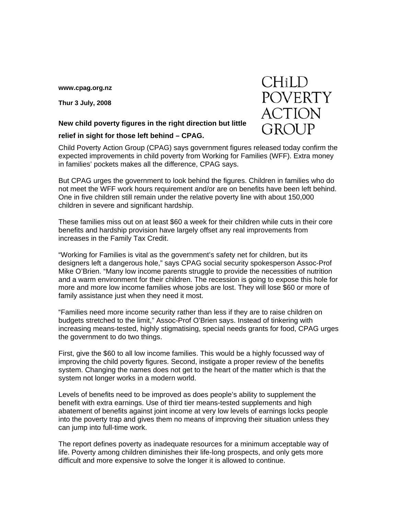**[www.cpag.org.nz](http://www.cpag.org.nz)** 

**Thur 3 July, 2008** 

## **New child poverty figures in the right direction but little**

## **relief in sight for those left behind – CPAG.**

Child Poverty Action Group (CPAG) says government figures released today confirm the expected improvements in child poverty from Working for Families (WFF). Extra money in families' pockets makes all the difference, CPAG says.

But CPAG urges the government to look behind the figures. Children in families who do not meet the WFF work hours requirement and/or are on benefits have been left behind. One in five children still remain under the relative poverty line with about 150,000 children in severe and significant hardship.

These families miss out on at least \$60 a week for their children while cuts in their core benefits and hardship provision have largely offset any real improvements from increases in the Family Tax Credit.

"Working for Families is vital as the government's safety net for children, but its designers left a dangerous hole," says CPAG social security spokesperson Assoc-Prof Mike O'Brien. "Many low income parents struggle to provide the necessities of nutrition and a warm environment for their children. The recession is going to expose this hole for more and more low income families whose jobs are lost. They will lose \$60 or more of family assistance just when they need it most.

"Families need more income security rather than less if they are to raise children on budgets stretched to the limit," Assoc-Prof O'Brien says. Instead of tinkering with increasing means-tested, highly stigmatising, special needs grants for food, CPAG urges the government to do two things.

First, give the \$60 to all low income families. This would be a highly focussed way of improving the child poverty figures. Second, instigate a proper review of the benefits system. Changing the names does not get to the heart of the matter which is that the system not longer works in a modern world.

Levels of benefits need to be improved as does people's ability to supplement the benefit with extra earnings. Use of third tier means-tested supplements and high abatement of benefits against joint income at very low levels of earnings locks people into the poverty trap and gives them no means of improving their situation unless they can jump into full-time work.

The report defines poverty as inadequate resources for a minimum acceptable way of life. Poverty among children diminishes their life-long prospects, and only gets more difficult and more expensive to solve the longer it is allowed to continue.